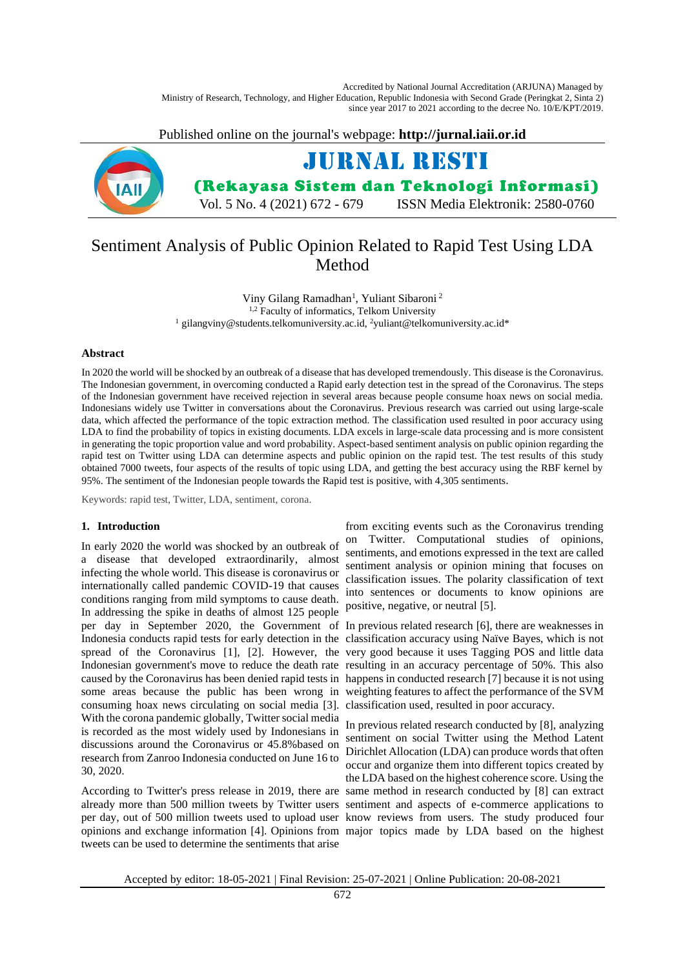Accredited by National Journal Accreditation (ARJUNA) Managed by Ministry of Research, Technology, and Higher Education, Republic Indonesia with Second Grade (Peringkat 2, Sinta 2) since year 2017 to 2021 according to the decree No. 10/E/KPT/2019.

Published online on the journal's webpage: **http://jurnal.iaii.or.id**



# Sentiment Analysis of Public Opinion Related to Rapid Test Using LDA Method

Viny Gilang Ramadhan<sup>1</sup>, Yuliant Sibaroni<sup>2</sup> <sup>1,2</sup> Faculty of informatics, Telkom University <sup>1</sup> gilangviny@students.telkomuniversity.ac.id, <sup>2</sup>yuliant@telkomuniversity.ac.id\*

### **Abstract**

In 2020 the world will be shocked by an outbreak of a disease that has developed tremendously. This disease is the Coronavirus. The Indonesian government, in overcoming conducted a Rapid early detection test in the spread of the Coronavirus. The steps of the Indonesian government have received rejection in several areas because people consume hoax news on social media. Indonesians widely use Twitter in conversations about the Coronavirus. Previous research was carried out using large-scale data, which affected the performance of the topic extraction method. The classification used resulted in poor accuracy using LDA to find the probability of topics in existing documents. LDA excels in large-scale data processing and is more consistent in generating the topic proportion value and word probability. Aspect-based sentiment analysis on public opinion regarding the rapid test on Twitter using LDA can determine aspects and public opinion on the rapid test. The test results of this study obtained 7000 tweets, four aspects of the results of topic using LDA, and getting the best accuracy using the RBF kernel by 95%. The sentiment of the Indonesian people towards the Rapid test is positive, with 4,305 sentiments.

Keywords: rapid test, Twitter, LDA, sentiment, corona.

### **1. Introduction**

In early 2020 the world was shocked by an outbreak of a disease that developed extraordinarily, almost infecting the whole world. This disease is coronavirus or internationally called pandemic COVID-19 that causes conditions ranging from mild symptoms to cause death. In addressing the spike in deaths of almost 125 people spread of the Coronavirus [1], [2]. However, the caused by the Coronavirus has been denied rapid tests in happens in conducted research [7] because it is not using some areas because the public has been wrong in weighting features to affect the performance of the SVM consuming hoax news circulating on social media [3]. classification used, resulted in poor accuracy. With the corona pandemic globally, Twitter social media is recorded as the most widely used by Indonesians in discussions around the Coronavirus or 45.8%based on research from Zanroo Indonesia conducted on June 16 to 30, 2020.

already more than 500 million tweets by Twitter users sentiment and aspects of e-commerce applications to per day, out of 500 million tweets used to upload user know reviews from users. The study produced four opinions and exchange information [4]. Opinions from major topics made by LDA based on the highest tweets can be used to determine the sentiments that arise

from exciting events such as the Coronavirus trending on Twitter. Computational studies of opinions, sentiments, and emotions expressed in the text are called sentiment analysis or opinion mining that focuses on classification issues. The polarity classification of text into sentences or documents to know opinions are positive, negative, or neutral [5].

per day in September 2020, the Government of In previous related research [6], there are weaknesses in Indonesia conducts rapid tests for early detection in the classification accuracy using Naïve Bayes, which is not Indonesian government's move to reduce the death rate resulting in an accuracy percentage of 50%. This also very good because it uses Tagging POS and little data

According to Twitter's press release in 2019, there are same method in research conducted by [8] can extract In previous related research conducted by [8], analyzing sentiment on social Twitter using the Method Latent Dirichlet Allocation (LDA) can produce words that often occur and organize them into different topics created by the LDA based on the highest coherence score. Using the

Accepted by editor: 18-05-2021 | Final Revision: 25-07-2021 | Online Publication: 20-08-2021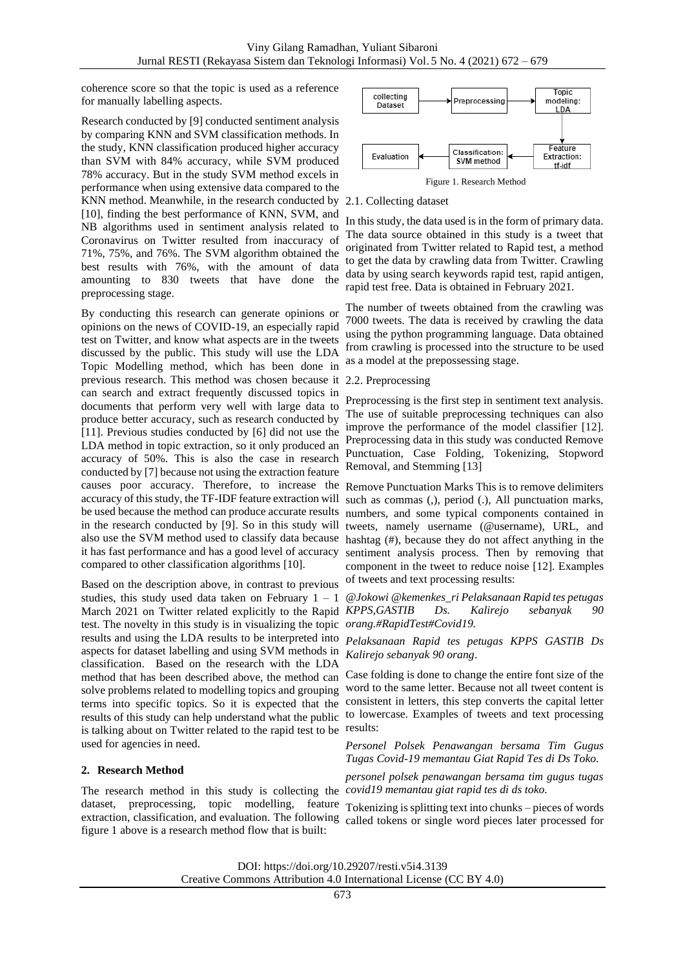coherence score so that the topic is used as a reference for manually labelling aspects.

Research conducted by [9] conducted sentiment analysis by comparing KNN and SVM classification methods. In the study, KNN classification produced higher accuracy than SVM with 84% accuracy, while SVM produced 78% accuracy. But in the study SVM method excels in performance when using extensive data compared to the KNN method. Meanwhile, in the research conducted by 2.1. Collecting dataset [10], finding the best performance of KNN, SVM, and NB algorithms used in sentiment analysis related to Coronavirus on Twitter resulted from inaccuracy of 71%, 75%, and 76%. The SVM algorithm obtained the best results with 76%, with the amount of data amounting to 830 tweets that have done the preprocessing stage.

By conducting this research can generate opinions or opinions on the news of COVID-19, an especially rapid test on Twitter, and know what aspects are in the tweets discussed by the public. This study will use the LDA Topic Modelling method, which has been done in previous research. This method was chosen because it 2.2. Preprocessing can search and extract frequently discussed topics in documents that perform very well with large data to produce better accuracy, such as research conducted by [11]. Previous studies conducted by [6] did not use the LDA method in topic extraction, so it only produced an accuracy of 50%. This is also the case in research conducted by [7] because not using the extraction feature causes poor accuracy. Therefore, to increase the Remove Punctuation Marks This is to remove delimiters accuracy of this study, the TF-IDF feature extraction will be used because the method can produce accurate results numbers, and some typical components contained in in the research conducted by [9]. So in this study will also use the SVM method used to classify data because hashtag (#), because they do not affect anything in the it has fast performance and has a good level of accuracy compared to other classification algorithms [10].

Based on the description above, in contrast to previous studies, this study used data taken on February  $1 - 1$ March 2021 on Twitter related explicitly to the Rapid *KPPS,GASTIB Ds. Kalirejo sebanyak 90*  test. The novelty in this study is in visualizing the topic *orang.#RapidTest#Covid19.* results and using the LDA results to be interpreted into aspects for dataset labelling and using SVM methods in classification. Based on the research with the LDA method that has been described above, the method can solve problems related to modelling topics and grouping terms into specific topics. So it is expected that the results of this study can help understand what the public is talking about on Twitter related to the rapid test to be used for agencies in need.

# **2. Research Method**

The research method in this study is collecting the *covid19 memantau giat rapid tes di ds toko.* dataset, preprocessing, topic modelling, feature Tokenizing is splitting text into chunks – pieces of words figure 1 above is a research method flow that is built:



In this study, the data used is in the form of primary data. The data source obtained in this study is a tweet that originated from Twitter related to Rapid test, a method to get the data by crawling data from Twitter. Crawling data by using search keywords rapid test, rapid antigen, rapid test free. Data is obtained in February 2021.

The number of tweets obtained from the crawling was 7000 tweets. The data is received by crawling the data using the python programming language. Data obtained from crawling is processed into the structure to be used as a model at the prepossessing stage.

Preprocessing is the first step in sentiment text analysis. The use of suitable preprocessing techniques can also improve the performance of the model classifier [12]. Preprocessing data in this study was conducted Remove Punctuation, Case Folding, Tokenizing, Stopword Removal, and Stemming [13]

such as commas (.), period (.), All punctuation marks, tweets, namely username (@username), URL, and sentiment analysis process. Then by removing that component in the tweet to reduce noise [12]. Examples of tweets and text processing results:

*@Jokowi @kemenkes\_ri Pelaksanaan Rapid tes petugas* 

*Pelaksanaan Rapid tes petugas KPPS GASTIB Ds Kalirejo sebanyak 90 orang*.

Case folding is done to change the entire font size of the word to the same letter. Because not all tweet content is consistent in letters, this step converts the capital letter to lowercase. Examples of tweets and text processing results:

*Personel Polsek Penawangan bersama Tim Gugus Tugas Covid-19 memantau Giat Rapid Tes di Ds Toko.*

*personel polsek penawangan bersama tim gugus tugas* 

extraction, classification, and evaluation. The following called tokens or single word pieces later processed for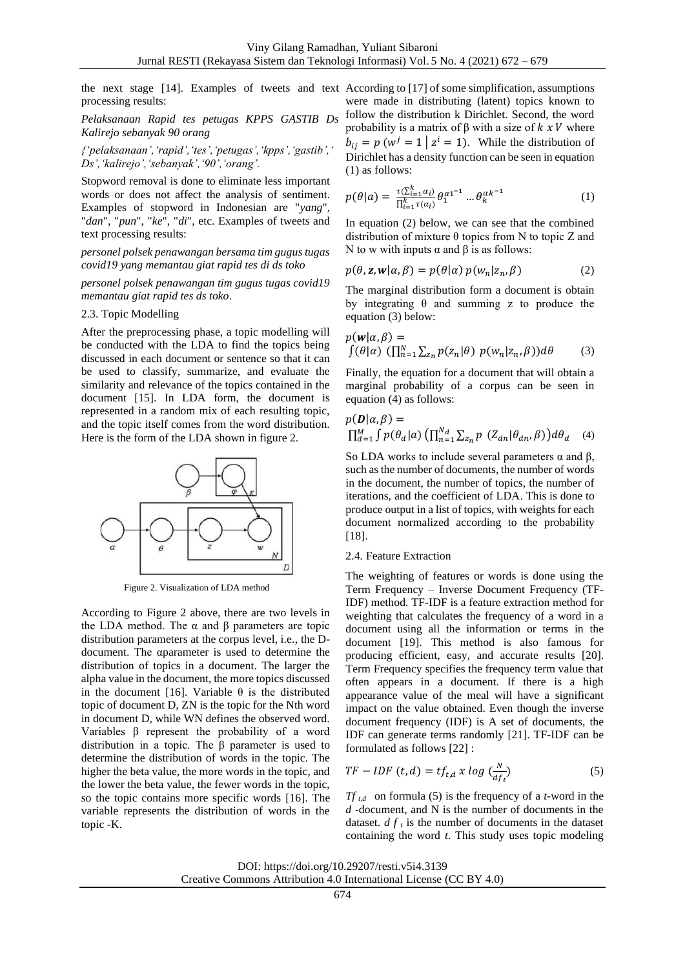the next stage [14]. Examples of tweets and text According to [17] of some simplification, assumptions processing results:

*Pelaksanaan Rapid tes petugas KPPS GASTIB Ds Kalirejo sebanyak 90 orang*

*{'pelaksanaan','rapid','tes','petugas','kpps','gastib',' Ds','kalirejo','sebanyak','90','orang'.*

Stopword removal is done to eliminate less important words or does not affect the analysis of sentiment. Examples of stopword in Indonesian are "*yang*", "*dan*", "*pun*", "*ke*", "*di*", etc. Examples of tweets and text processing results:

*personel polsek penawangan bersama tim gugus tugas covid19 yang memantau giat rapid tes di ds toko*

*personel polsek penawangan tim gugus tugas covid19 memantau giat rapid tes ds toko*.

#### 2.3. Topic Modelling

After the preprocessing phase, a topic modelling will be conducted with the LDA to find the topics being discussed in each document or sentence so that it can be used to classify, summarize, and evaluate the similarity and relevance of the topics contained in the document [15]. In LDA form, the document is represented in a random mix of each resulting topic, and the topic itself comes from the word distribution. Here is the form of the LDA shown in figure 2.



Figure 2. Visualization of LDA method

According to Figure 2 above, there are two levels in the LDA method. The  $α$  and  $β$  parameters are topic distribution parameters at the corpus level, i.e., the Ddocument. The αparameter is used to determine the distribution of topics in a document. The larger the alpha value in the document, the more topics discussed in the document [16]. Variable θ is the distributed topic of document D, ZN is the topic for the Nth word in document D, while WN defines the observed word. Variables β represent the probability of a word distribution in a topic. The β parameter is used to determine the distribution of words in the topic. The higher the beta value, the more words in the topic, and the lower the beta value, the fewer words in the topic, so the topic contains more specific words [16]. The variable represents the distribution of words in the topic -K.

were made in distributing (latent) topics known to follow the distribution k Dirichlet. Second, the word probability is a matrix of  $β$  with a size of  $k x V$  where  $b_{ij} = p (w^j = 1 | z^i = 1)$ . While the distribution of Dirichlet has a density function can be seen in equation (1) as follows:

$$
p(\theta|a) = \frac{\tau(\sum_{i=1}^{k} \alpha_i)}{\prod_{i=1}^{k} \tau(\alpha_i)} \theta_1^{\alpha 1^{-1}} \dots \theta_k^{\alpha k^{-1}}
$$
(1)

In equation (2) below, we can see that the combined distribution of mixture  $\theta$  topics from N to topic Z and N to w with inputs α and β is as follows:

$$
p(\theta, \mathbf{z}, \mathbf{w} | \alpha, \beta) = p(\theta | \alpha) p(w_n | z_n, \beta)
$$
 (2)

The marginal distribution form a document is obtain by integrating  $\theta$  and summing z to produce the equation (3) below:

$$
p(\mathbf{w}|\alpha,\beta) =
$$
  

$$
\int (\theta|\alpha) \left( \prod_{n=1}^{N} \sum_{z_n} p(z_n|\theta) p(w_n|z_n,\beta) \right) d\theta
$$
 (3)

Finally, the equation for a document that will obtain a marginal probability of a corpus can be seen in equation  $(4)$  as follows:

$$
p(\mathbf{D}|\alpha,\beta) =
$$
  

$$
\prod_{d=1}^{M} \int p(\theta_d | a) \left( \prod_{n=1}^{N_d} \sum_{z_n} p (Z_{dn} | \theta_{dn}, \beta) \right) d\theta_d
$$
 (4)

So LDA works to include several parameters  $\alpha$  and  $\beta$ , such as the number of documents, the number of words in the document, the number of topics, the number of iterations, and the coefficient of LDA. This is done to produce output in a list of topics, with weights for each document normalized according to the probability [18].

#### 2.4*.* Feature Extraction

The weighting of features or words is done using the Term Frequency – Inverse Document Frequency (TF-IDF) method. TF-IDF is a feature extraction method for weighting that calculates the frequency of a word in a document using all the information or terms in the document [19]. This method is also famous for producing efficient, easy, and accurate results [20]. Term Frequency specifies the frequency term value that often appears in a document. If there is a high appearance value of the meal will have a significant impact on the value obtained. Even though the inverse document frequency (IDF) is A set of documents, the IDF can generate terms randomly [21]. TF-IDF can be formulated as follows [22] :

$$
TF - IDF (t, d) = tf_{t, d} x \log \left(\frac{N}{df_t}\right)
$$
 (5)

*Tf*  $_{t,d}$  on formula (5) is the frequency of a *t*-word in the *d* -document, and N is the number of documents in the dataset.  $d f_t$  is the number of documents in the dataset containing the word *t*. This study uses topic modeling

DOI: https://doi.org/10.29207/resti.v5i4.3139 Creative Commons Attribution 4.0 International License (CC BY 4.0)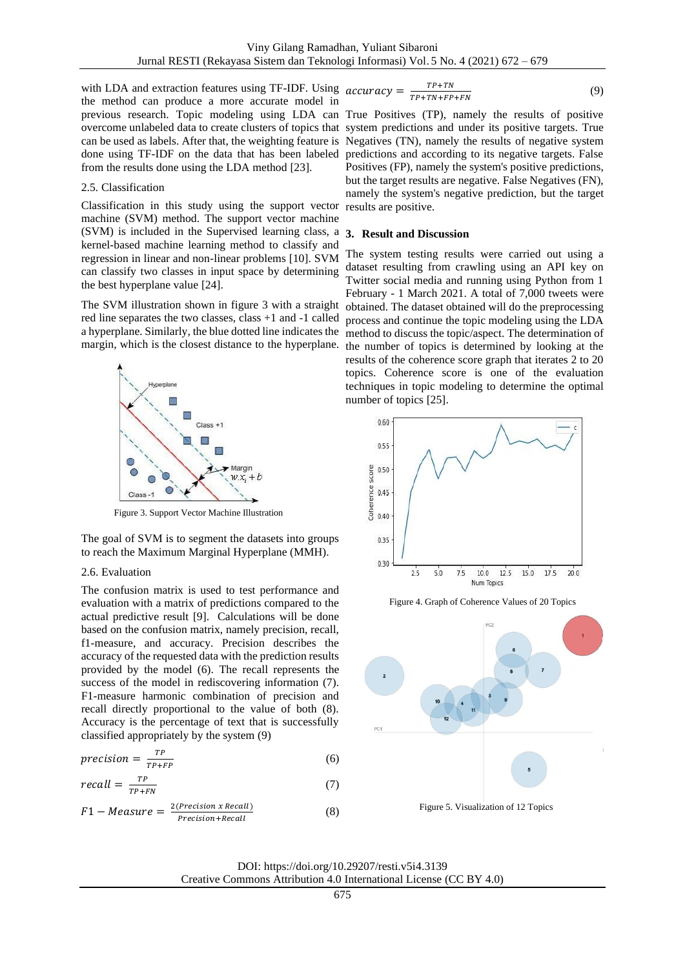with LDA and extraction features using TF-IDF. Using  $accuracy =$ the method can produce a more accurate model in previous research. Topic modeling using LDA can True Positives (TP), namely the results of positive overcome unlabeled data to create clusters of topics that system predictions and under its positive targets. True can be used as labels. After that, the weighting feature is Negatives (TN), namely the results of negative system done using TF-IDF on the data that has been labeled from the results done using the LDA method [23].

### 2.5*.* Classification

Classification in this study using the support vector machine (SVM) method. The support vector machine (SVM) is included in the Supervised learning class, a kernel-based machine learning method to classify and regression in linear and non-linear problems [10]. SVM can classify two classes in input space by determining the best hyperplane value [24].

The SVM illustration shown in figure 3 with a straight red line separates the two classes, class +1 and -1 called margin, which is the closest distance to the hyperplane.



Figure 3. Support Vector Machine Illustration

The goal of SVM is to segment the datasets into groups to reach the Maximum Marginal Hyperplane (MMH).

### 2.6. Evaluation

The confusion matrix is used to test performance and evaluation with a matrix of predictions compared to the actual predictive result [9]. Calculations will be done based on the confusion matrix, namely precision, recall, f1-measure, and accuracy. Precision describes the accuracy of the requested data with the prediction results provided by the model (6). The recall represents the success of the model in rediscovering information (7). F1-measure harmonic combination of precision and recall directly proportional to the value of both (8). Accuracy is the percentage of text that is successfully classified appropriately by the system (9)

$$
precision = \frac{TP}{TP + FP}
$$
 (6)

$$
recall = \frac{TP}{TP+FN} \tag{7}
$$

$$
F1-Measure = \frac{2(Precision x Recall)}{Precision+Recall}
$$
 (8)

$$
acy = \frac{TP + TN}{TP + TN + FP + FN}
$$
 (9)

predictions and according to its negative targets. False Positives (FP), namely the system's positive predictions, but the target results are negative. False Negatives (FN), namely the system's negative prediction, but the target results are positive.

#### **3. Result and Discussion**

a hyperplane. Similarly, the blue dotted line indicates the method to discuss the topic/aspect. The determination of The system testing results were carried out using a dataset resulting from crawling using an API key on Twitter social media and running using Python from 1 February - 1 March 2021. A total of 7,000 tweets were obtained. The dataset obtained will do the preprocessing process and continue the topic modeling using the LDA the number of topics is determined by looking at the results of the coherence score graph that iterates 2 to 20 topics. Coherence score is one of the evaluation techniques in topic modeling to determine the optimal number of topics [25].



Figure 4. Graph of Coherence Values of 20 Topics

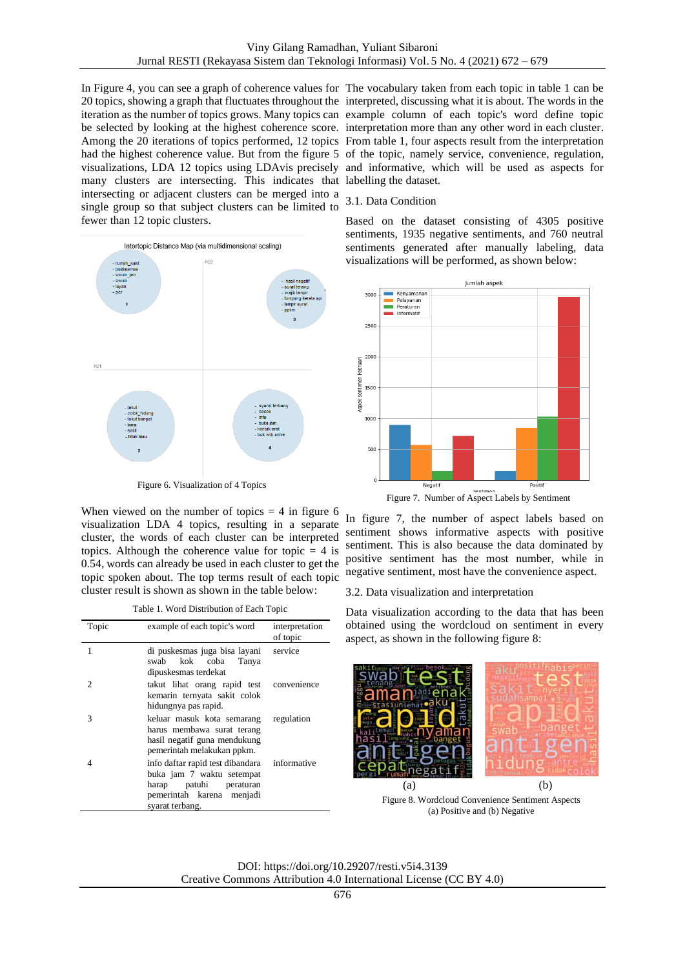In Figure 4, you can see a graph of coherence values for The vocabulary taken from each topic in table 1 can be 20 topics, showing a graph that fluctuates throughout the interpreted, discussing what it is about. The words in the iteration as the number of topics grows. Many topics can example column of each topic's word define topic be selected by looking at the highest coherence score. interpretation more than any other word in each cluster. Among the 20 iterations of topics performed, 12 topics From table 1, four aspects result from the interpretation had the highest coherence value. But from the figure 5 of the topic, namely service, convenience, regulation, visualizations, LDA 12 topics using LDAvis precisely and informative, which will be used as aspects for many clusters are intersecting. This indicates that labelling the dataset. intersecting or adjacent clusters can be merged into a single group so that subject clusters can be limited to fewer than 12 topic clusters.



Figure 6. Visualization of 4 Topics

When viewed on the number of topics  $= 4$  in figure 6 visualization LDA 4 topics, resulting in a separate cluster, the words of each cluster can be interpreted topics. Although the coherence value for topic  $= 4$  is 0.54, words can already be used in each cluster to get the topic spoken about. The top terms result of each topic cluster result is shown as shown in the table below:

Table 1. Word Distribution of Each Topic

| Topic | example of each topic's word                                                                                                                        | interpretation<br>of topic |  |
|-------|-----------------------------------------------------------------------------------------------------------------------------------------------------|----------------------------|--|
| 1     | di puskesmas juga bisa layani<br>swab kok coba<br>Tanya<br>dipuskesmas terdekat                                                                     | service                    |  |
| 2     | takut lihat orang rapid test convenience<br>kemarin ternyata sakit colok<br>hidungnya pas rapid.                                                    |                            |  |
| 3     | keluar masuk kota semarang<br>harus membawa surat terang<br>hasil negatif guna mendukung<br>pemerintah melakukan ppkm.                              | regulation                 |  |
|       | info daftar rapid test dibandara informative<br>buka jam 7 waktu setempat<br>harap patuhi peraturan<br>pemerintah karena menjadi<br>syarat terbang. |                            |  |

# 3.1. Data Condition

Based on the dataset consisting of 4305 positive sentiments, 1935 negative sentiments, and 760 neutral sentiments generated after manually labeling, data visualizations will be performed, as shown below:



In figure 7, the number of aspect labels based on sentiment shows informative aspects with positive sentiment. This is also because the data dominated by positive sentiment has the most number, while in negative sentiment, most have the convenience aspect.

3.2. Data visualization and interpretation

Data visualization according to the data that has been obtained using the wordcloud on sentiment in every aspect, as shown in the following figure 8:



Figure 8. Wordcloud Convenience Sentiment Aspects (a) Positive and (b) Negative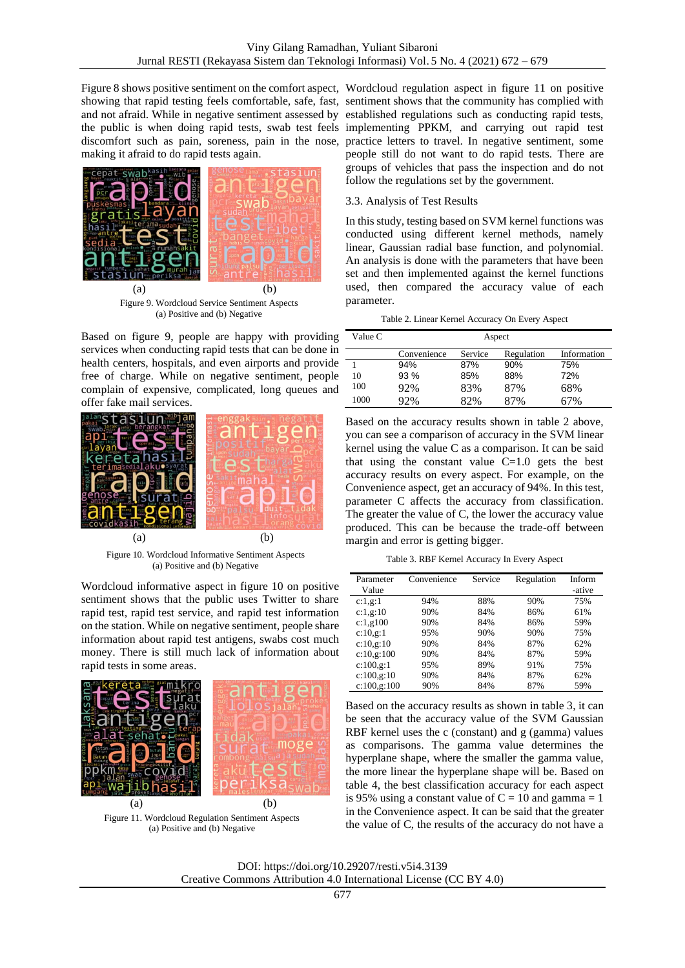making it afraid to do rapid tests again.



Figure 9. Wordcloud Service Sentiment Aspects (a) Positive and (b) Negative

Based on figure 9, people are happy with providing services when conducting rapid tests that can be done in health centers, hospitals, and even airports and provide free of charge. While on negative sentiment, people complain of expensive, complicated, long queues and offer fake mail services.



Figure 10. Wordcloud Informative Sentiment Aspects (a) Positive and (b) Negative

Wordcloud informative aspect in figure 10 on positive sentiment shows that the public uses Twitter to share rapid test, rapid test service, and rapid test information on the station. While on negative sentiment, people share information about rapid test antigens, swabs cost much money. There is still much lack of information about rapid tests in some areas.



Figure 11. Wordcloud Regulation Sentiment Aspects (a) Positive and (b) Negative

Figure 8 shows positive sentiment on the comfort aspect, Wordcloud regulation aspect in figure 11 on positive showing that rapid testing feels comfortable, safe, fast, sentiment shows that the community has complied with and not afraid. While in negative sentiment assessed by established regulations such as conducting rapid tests, the public is when doing rapid tests, swab test feels implementing PPKM, and carrying out rapid test discomfort such as pain, soreness, pain in the nose, practice letters to travel. In negative sentiment, some people still do not want to do rapid tests. There are groups of vehicles that pass the inspection and do not follow the regulations set by the government.

# 3.3. Analysis of Test Results

In this study, testing based on SVM kernel functions was conducted using different kernel methods, namely linear, Gaussian radial base function, and polynomial. An analysis is done with the parameters that have been set and then implemented against the kernel functions used, then compared the accuracy value of each parameter.

| Table 2. Linear Kernel Accuracy On Every Aspect |  |  |  |
|-------------------------------------------------|--|--|--|
|-------------------------------------------------|--|--|--|

| Value C | Aspect      |         |            |             |
|---------|-------------|---------|------------|-------------|
|         | Convenience | Service | Regulation | Information |
|         | 94%         | 87%     | 90%        | 75%         |
| 10      | 93%         | 85%     | 88%        | 72%         |
| 100     | 92%         | 83%     | 87%        | 68%         |
| 1000    | 92%         | 82%     | 87%        | ና7%         |

Based on the accuracy results shown in table 2 above, you can see a comparison of accuracy in the SVM linear kernel using the value C as a comparison. It can be said that using the constant value  $C=1.0$  gets the best accuracy results on every aspect. For example, on the Convenience aspect, get an accuracy of 94%. In this test, parameter C affects the accuracy from classification. The greater the value of C, the lower the accuracy value produced. This can be because the trade-off between margin and error is getting bigger.

Table 3. RBF Kernel Accuracy In Every Aspect

|              | Convenience | Service |            |        |
|--------------|-------------|---------|------------|--------|
| Parameter    |             |         | Regulation | Inform |
| Value        |             |         |            | -ative |
| c:1,g:1      | 94%         | 88%     | 90%        | 75%    |
| c:1,g:10     | 90%         | 84%     | 86%        | 61%    |
| c:1,000      | 90%         | 84%     | 86%        | 59%    |
| c:10,g:1     | 95%         | 90%     | 90%        | 75%    |
| c:10, g:10   | 90%         | 84%     | 87%        | 62%    |
| c:10,g:100   | 90%         | 84%     | 87%        | 59%    |
| c:100,g:1    | 95%         | 89%     | 91%        | 75%    |
| c:100,g:10   | 90%         | 84%     | 87%        | 62%    |
| c:100, g:100 | 90%         | 84%     | 87%        | 59%    |

Based on the accuracy results as shown in table 3, it can be seen that the accuracy value of the SVM Gaussian RBF kernel uses the c (constant) and g (gamma) values as comparisons. The gamma value determines the hyperplane shape, where the smaller the gamma value, the more linear the hyperplane shape will be. Based on table 4, the best classification accuracy for each aspect is 95% using a constant value of  $C = 10$  and gamma = 1 in the Convenience aspect. It can be said that the greater the value of C, the results of the accuracy do not have a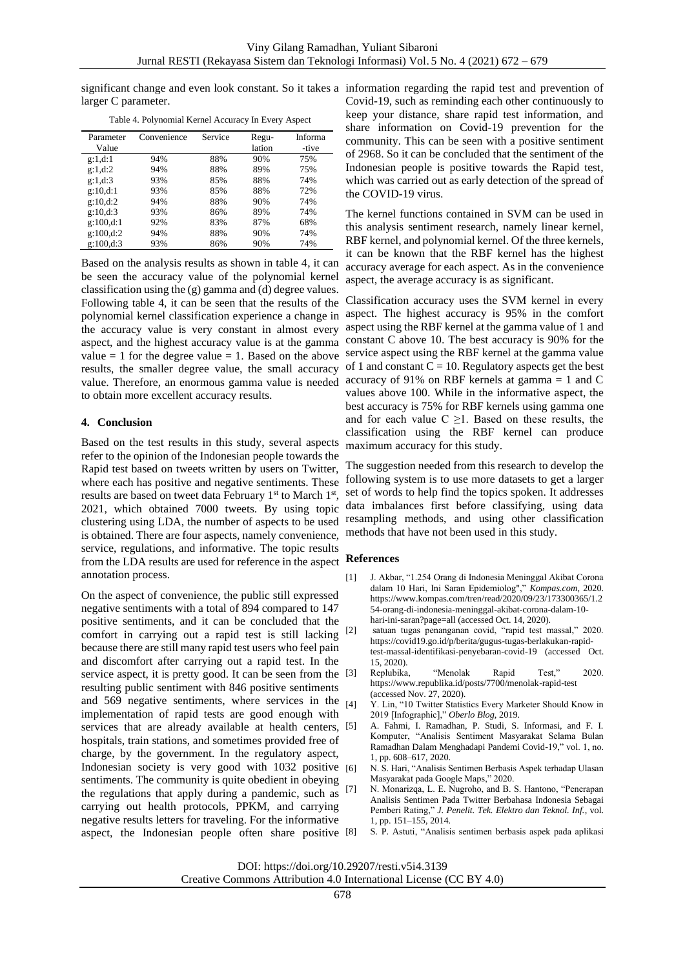larger C parameter.

| Parameter | Convenience | Service | Regu-  | Informa |
|-----------|-------------|---------|--------|---------|
| Value     |             |         | lation | -tive   |
| g:1.d:1   | 94%         | 88%     | 90%    | 75%     |
| g:1.d:2   | 94%         | 88%     | 89%    | 75%     |
| g:1.d:3   | 93%         | 85%     | 88%    | 74%     |
| g:10.d:1  | 93%         | 85%     | 88%    | 72%     |
| g:10.d:2  | 94%         | 88%     | 90%    | 74%     |
| g:10,d:3  | 93%         | 86%     | 89%    | 74%     |
| g:100.d:1 | 92%         | 83%     | 87%    | 68%     |
| g:100.d:2 | 94%         | 88%     | 90%    | 74%     |
| g:100.d:3 | 93%         | 86%     | 90%    | 74%     |

Table 4. Polynomial Kernel Accuracy In Every Aspect

Based on the analysis results as shown in table 4, it can be seen the accuracy value of the polynomial kernel classification using the (g) gamma and (d) degree values. Following table 4, it can be seen that the results of the polynomial kernel classification experience a change in the accuracy value is very constant in almost every aspect, and the highest accuracy value is at the gamma value  $= 1$  for the degree value  $= 1$ . Based on the above results, the smaller degree value, the small accuracy value. Therefore, an enormous gamma value is needed to obtain more excellent accuracy results.

# **4. Conclusion**

Based on the test results in this study, several aspects refer to the opinion of the Indonesian people towards the Rapid test based on tweets written by users on Twitter, where each has positive and negative sentiments. These results are based on tweet data February  $1<sup>st</sup>$  to March  $1<sup>st</sup>$ , 2021, which obtained 7000 tweets. By using topic clustering using LDA, the number of aspects to be used is obtained. There are four aspects, namely convenience, service, regulations, and informative. The topic results from the LDA results are used for reference in the aspect **References** annotation process.

On the aspect of convenience, the public still expressed negative sentiments with a total of 894 compared to 147 positive sentiments, and it can be concluded that the comfort in carrying out a rapid test is still lacking [2] because there are still many rapid test users who feel pain and discomfort after carrying out a rapid test. In the service aspect, it is pretty good. It can be seen from the [3] resulting public sentiment with 846 positive sentiments and  $569$  negative sentiments, where services in the  $_{[4]}$ implementation of rapid tests are good enough with services that are already available at health centers, [5] hospitals, train stations, and sometimes provided free of charge, by the government. In the regulatory aspect, Indonesian society is very good with 1032 positive [6] sentiments. The community is quite obedient in obeying the regulations that apply during a pandemic, such as [7] carrying out health protocols, PPKM, and carrying negative results letters for traveling. For the informative aspect, the Indonesian people often share positive [8]

significant change and even look constant. So it takes a information regarding the rapid test and prevention of Covid-19, such as reminding each other continuously to keep your distance, share rapid test information, and share information on Covid-19 prevention for the community. This can be seen with a positive sentiment of 2968. So it can be concluded that the sentiment of the Indonesian people is positive towards the Rapid test, which was carried out as early detection of the spread of the COVID-19 virus.

> The kernel functions contained in SVM can be used in this analysis sentiment research, namely linear kernel, RBF kernel, and polynomial kernel. Of the three kernels, it can be known that the RBF kernel has the highest accuracy average for each aspect. As in the convenience aspect, the average accuracy is as significant.

> Classification accuracy uses the SVM kernel in every aspect. The highest accuracy is 95% in the comfort aspect using the RBF kernel at the gamma value of 1 and constant C above 10. The best accuracy is 90% for the service aspect using the RBF kernel at the gamma value of 1 and constant  $C = 10$ . Regulatory aspects get the best accuracy of 91% on RBF kernels at gamma = 1 and C values above 100. While in the informative aspect, the best accuracy is 75% for RBF kernels using gamma one and for each value  $C \geq 1$ . Based on these results, the classification using the RBF kernel can produce maximum accuracy for this study.

> The suggestion needed from this research to develop the following system is to use more datasets to get a larger set of words to help find the topics spoken. It addresses data imbalances first before classifying, using data resampling methods, and using other classification methods that have not been used in this study.

- [1] J. Akbar, "1.254 Orang di Indonesia Meninggal Akibat Corona dalam 10 Hari, Ini Saran Epidemiolog"," *Kompas.com*, 2020. https://www.kompas.com/tren/read/2020/09/23/173300365/1.2 54-orang-di-indonesia-meninggal-akibat-corona-dalam-10 hari-ini-saran?page=all (accessed Oct. 14, 2020).
- satuan tugas penanganan covid, "rapid test massal," 2020. https://covid19.go.id/p/berita/gugus-tugas-berlakukan-rapidtest-massal-identifikasi-penyebaran-covid-19 (accessed Oct. 15, 2020).
- Replubika, "Menolak Rapid Test," 2020. https://www.republika.id/posts/7700/menolak-rapid-test (accessed Nov. 27, 2020).
- Y. Lin, "10 Twitter Statistics Every Marketer Should Know in 2019 [Infographic]," *Oberlo Blog*, 2019.
- [5] A. Fahmi, I. Ramadhan, P. Studi, S. Informasi, and F. I. Komputer, "Analisis Sentiment Masyarakat Selama Bulan Ramadhan Dalam Menghadapi Pandemi Covid-19," vol. 1, no. 1, pp. 608–617, 2020.
- [6] N. S. Hari, "Analisis Sentimen Berbasis Aspek terhadap Ulasan Masyarakat pada Google Maps," 2020.
- [7] N. Monarizqa, L. E. Nugroho, and B. S. Hantono, "Penerapan Analisis Sentimen Pada Twitter Berbahasa Indonesia Sebagai Pemberi Rating," *J. Penelit. Tek. Elektro dan Teknol. Inf.*, vol. 1, pp. 151–155, 2014.
	- [8] S. P. Astuti, "Analisis sentimen berbasis aspek pada aplikasi

DOI: https://doi.org/10.29207/resti.v5i4.3139

Creative Commons Attribution 4.0 International License (CC BY 4.0)